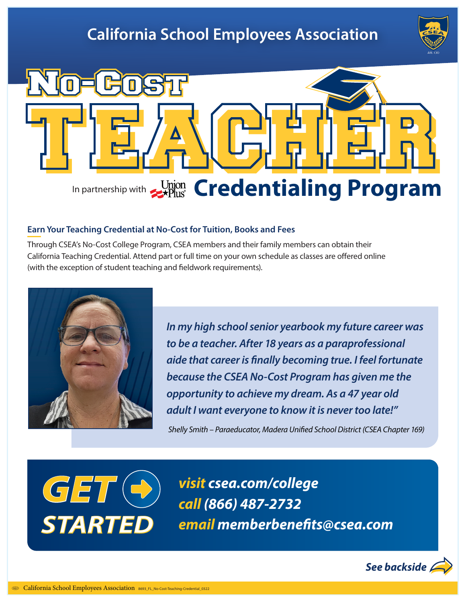# **California School Employees Association**





#### **Earn Your Teaching Credential at No-Cost for Tuition, Books and Fees**

Through CSEA's No-Cost College Program, CSEA members and their family members can obtain their California Teaching Credential. Attend part or full time on your own schedule as classes are offered online (with the exception of student teaching and fieldwork requirements).



*In my high school senior yearbook my future career was to be a teacher. After 18 years as a paraprofessional aide that career is finally becoming true. I feel fortunate because the CSEA No-Cost Program has given me the opportunity to achieve my dream. As a 47 year old adult I want everyone to know it is never too late!"*

*Shelly Smith – Paraeducator, Madera Unified School District (CSEA Chapter 169)*



*visit csea.com/college call (866) 487-2732 email memberbenefits@csea.com*